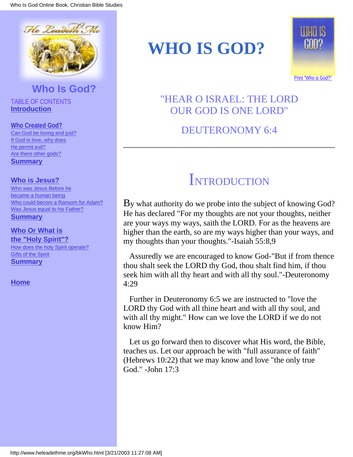

 **[Who Is God?](http://www.heleadethme.org/index.html)** TABLE OF CONTENTS **[Introduction](#page-1-0)**

**[Who Created God?](#page-2-0)** [Can God be loving and just?](#page-2-1) [If God is love, why does](#page-3-0) [He permit evil?](#page-3-0) [Are there other gods?](#page-3-1) **[Summary](#page-4-0)**

#### **[Who is Jesus?](#page-6-0)**

[Who was Jesus Before he](#page-6-1) [became a human being](#page-6-1) [Who could becom a Ransom for Adam?](#page-6-2) [Was Jesus equal to his Father?](#page-7-0) **[Summary](#page-8-0)**

**[Who Or What is](#page-8-1) [the "Holy Spirit"?](#page-8-1)** [How does the holy Spirit operate?](#page-8-2) **[Gifts of the Spirit](#page-9-0) [Summary](#page-10-0)**

**[Home](http://www.heleadethme.org/)**

# **WHO IS GOD?**



### "HEAR O ISRAEL: THE LORD OUR GOD IS ONE LORD"

DEUTERONOMY 6:4

## **INTRODUCTION**

By what authority do we probe into the subject of knowing God? He has declared "For my thoughts are not your thoughts, neither are your ways my ways, saith the LORD. For as the heavens are higher than the earth, so are my ways higher than your ways, and my thoughts than your thoughts."-Isaiah 55:8,9

 Assuredly we are encouraged to know God-"But if from thence thou shalt seek the LORD thy God, thou shalt find him, if thou seek him with all thy heart and with all thy soul."-Deuteronomy 4:29

 Further in Deuteronomy 6:5 we are instructed to "love the LORD thy God with all thine heart and with all thy soul, and with all thy might." How can we love the LORD if we do not know Him?

 Let us go forward then to discover what His word, the Bible, teaches us. Let our approach be with "full assurance of faith" (Hebrews 10:22) that we may know and love "the only true God." -John 17:3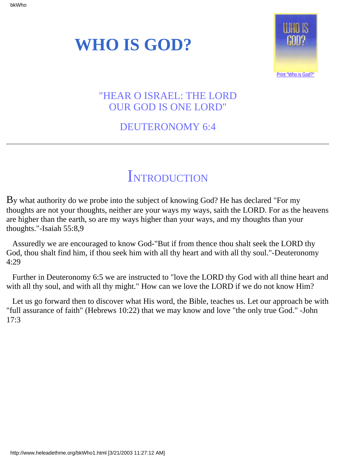<span id="page-1-0"></span>



### "HEAR O ISRAEL: THE LORD OUR GOD IS ONE LORD"

DEUTERONOMY 6:4

## **INTRODUCTION**

By what authority do we probe into the subject of knowing God? He has declared "For my thoughts are not your thoughts, neither are your ways my ways, saith the LORD. For as the heavens are higher than the earth, so are my ways higher than your ways, and my thoughts than your thoughts."-Isaiah 55:8,9

 Assuredly we are encouraged to know God-"But if from thence thou shalt seek the LORD thy God, thou shalt find him, if thou seek him with all thy heart and with all thy soul."-Deuteronomy 4:29

 Further in Deuteronomy 6:5 we are instructed to "love the LORD thy God with all thine heart and with all thy soul, and with all thy might." How can we love the LORD if we do not know Him?

 Let us go forward then to discover what His word, the Bible, teaches us. Let our approach be with "full assurance of faith" (Hebrews 10:22) that we may know and love "the only true God." -John 17:3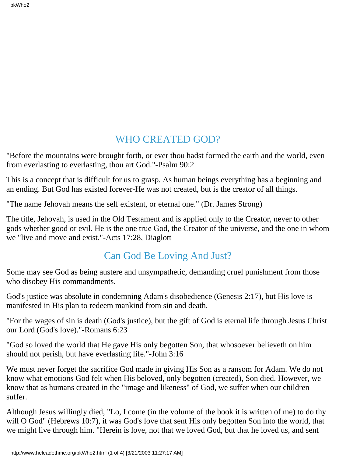### WHO CREATED GOD?

<span id="page-2-0"></span>"Before the mountains were brought forth, or ever thou hadst formed the earth and the world, even from everlasting to everlasting, thou art God."-Psalm 90:2

This is a concept that is difficult for us to grasp. As human beings everything has a beginning and an ending. But God has existed forever-He was not created, but is the creator of all things.

"The name Jehovah means the self existent, or eternal one." (Dr. James Strong)

The title, Jehovah, is used in the Old Testament and is applied only to the Creator, never to other gods whether good or evil. He is the one true God, the Creator of the universe, and the one in whom we "live and move and exist."-Acts 17:28, Diaglott

### Can God Be Loving And Just?

<span id="page-2-1"></span>Some may see God as being austere and unsympathetic, demanding cruel punishment from those who disobey His commandments.

God's justice was absolute in condemning Adam's disobedience (Genesis 2:17), but His love is manifested in His plan to redeem mankind from sin and death.

"For the wages of sin is death (God's justice), but the gift of God is eternal life through Jesus Christ our Lord (God's love)."-Romans 6:23

"God so loved the world that He gave His only begotten Son, that whosoever believeth on him should not perish, but have everlasting life."-John 3:16

We must never forget the sacrifice God made in giving His Son as a ransom for Adam. We do not know what emotions God felt when His beloved, only begotten (created), Son died. However, we know that as humans created in the "image and likeness" of God, we suffer when our children suffer.

Although Jesus willingly died, "Lo, I come (in the volume of the book it is written of me) to do thy will O God" (Hebrews 10:7), it was God's love that sent His only begotten Son into the world, that we might live through him. "Herein is love, not that we loved God, but that he loved us, and sent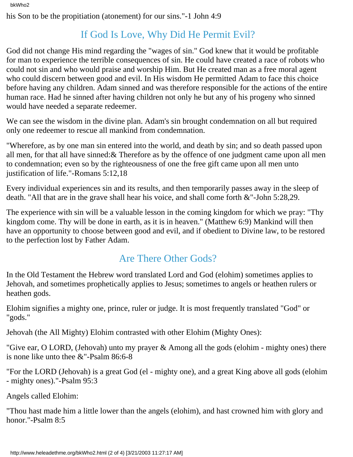bkWho2

his Son to be the propitiation (atonement) for our sins."-1 John 4:9

### If God Is Love, Why Did He Permit Evil?

<span id="page-3-0"></span>God did not change His mind regarding the "wages of sin." God knew that it would be profitable for man to experience the terrible consequences of sin. He could have created a race of robots who could not sin and who would praise and worship Him. But He created man as a free moral agent who could discern between good and evil. In His wisdom He permitted Adam to face this choice before having any children. Adam sinned and was therefore responsible for the actions of the entire human race. Had he sinned after having children not only he but any of his progeny who sinned would have needed a separate redeemer.

We can see the wisdom in the divine plan. Adam's sin brought condemnation on all but required only one redeemer to rescue all mankind from condemnation.

"Wherefore, as by one man sin entered into the world, and death by sin; and so death passed upon all men, for that all have sinned:& Therefore as by the offence of one judgment came upon all men to condemnation; even so by the righteousness of one the free gift came upon all men unto justification of life."-Romans 5:12,18

Every individual experiences sin and its results, and then temporarily passes away in the sleep of death. "All that are in the grave shall hear his voice, and shall come forth &"-John 5:28,29.

The experience with sin will be a valuable lesson in the coming kingdom for which we pray: "Thy kingdom come. Thy will be done in earth, as it is in heaven." (Matthew 6:9) Mankind will then have an opportunity to choose between good and evil, and if obedient to Divine law, to be restored to the perfection lost by Father Adam.

### Are There Other Gods?

<span id="page-3-1"></span>In the Old Testament the Hebrew word translated Lord and God (elohim) sometimes applies to Jehovah, and sometimes prophetically applies to Jesus; sometimes to angels or heathen rulers or heathen gods.

Elohim signifies a mighty one, prince, ruler or judge. It is most frequently translated "God" or "gods."

Jehovah (the All Mighty) Elohim contrasted with other Elohim (Mighty Ones):

"Give ear, O LORD, (Jehovah) unto my prayer & Among all the gods (elohim - mighty ones) there is none like unto thee &"-Psalm 86:6-8

"For the LORD (Jehovah) is a great God (el - mighty one), and a great King above all gods (elohim - mighty ones)."-Psalm 95:3

Angels called Elohim:

"Thou hast made him a little lower than the angels (elohim), and hast crowned him with glory and honor."-Psalm 8:5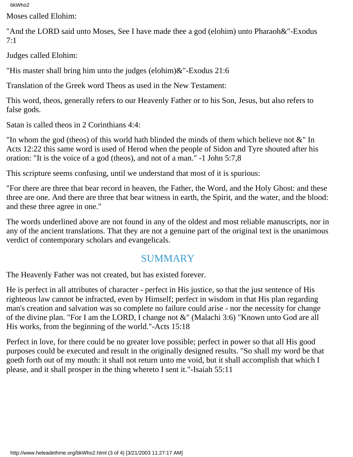bkWho2

Moses called Elohim:

"And the LORD said unto Moses, See I have made thee a god (elohim) unto Pharaoh&"-Exodus 7:1

Judges called Elohim:

"His master shall bring him unto the judges (elohim)&"-Exodus 21:6

Translation of the Greek word Theos as used in the New Testament:

This word, theos, generally refers to our Heavenly Father or to his Son, Jesus, but also refers to false gods.

Satan is called theos in 2 Corinthians 4:4:

"In whom the god (theos) of this world hath blinded the minds of them which believe not &" In Acts 12:22 this same word is used of Herod when the people of Sidon and Tyre shouted after his oration: "It is the voice of a god (theos), and not of a man." -1 John 5:7,8

This scripture seems confusing, until we understand that most of it is spurious:

"For there are three that bear record in heaven, the Father, the Word, and the Holy Ghost: and these three are one. And there are three that bear witness in earth, the Spirit, and the water, and the blood: and these three agree in one."

The words underlined above are not found in any of the oldest and most reliable manuscripts, nor in any of the ancient translations. That they are not a genuine part of the original text is the unanimous verdict of contemporary scholars and evangelicals.

### SUMMARY

<span id="page-4-0"></span>The Heavenly Father was not created, but has existed forever.

He is perfect in all attributes of character - perfect in His justice, so that the just sentence of His righteous law cannot be infracted, even by Himself; perfect in wisdom in that His plan regarding man's creation and salvation was so complete no failure could arise - nor the necessity for change of the divine plan. "For I am the LORD, I change not &" (Malachi 3:6) "Known unto God are all His works, from the beginning of the world."-Acts 15:18

Perfect in love, for there could be no greater love possible; perfect in power so that all His good purposes could be executed and result in the originally designed results. "So shall my word be that goeth forth out of my mouth: it shall not return unto me void, but it shall accomplish that which I please, and it shall prosper in the thing whereto I sent it."-Isaiah 55:11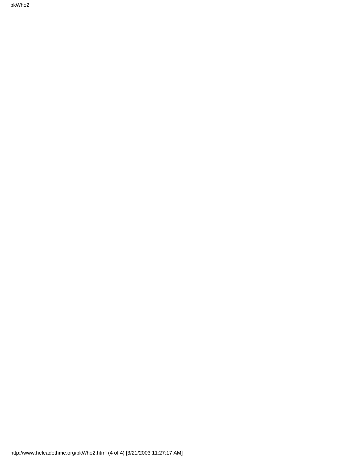bkWho2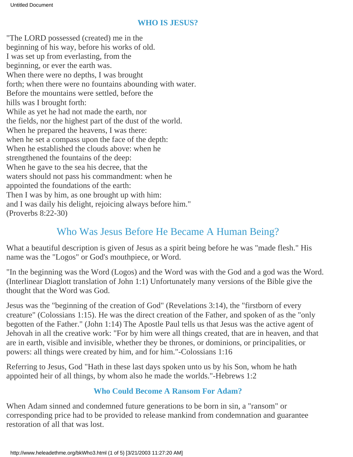#### **WHO IS JESUS?**

<span id="page-6-0"></span>"The LORD possessed (created) me in the beginning of his way, before his works of old. I was set up from everlasting, from the beginning, or ever the earth was. When there were no depths, I was brought forth; when there were no fountains abounding with water. Before the mountains were settled, before the hills was I brought forth: While as yet he had not made the earth, nor the fields, nor the highest part of the dust of the world. When he prepared the heavens, I was there: when he set a compass upon the face of the depth: When he established the clouds above: when he strengthened the fountains of the deep: When he gave to the sea his decree, that the waters should not pass his commandment: when he appointed the foundations of the earth: Then I was by him, as one brought up with him: and I was daily his delight, rejoicing always before him." (Proverbs 8:22-30)

### Who Was Jesus Before He Became A Human Being?

<span id="page-6-1"></span>What a beautiful description is given of Jesus as a spirit being before he was "made flesh." His name was the "Logos" or God's mouthpiece, or Word.

"In the beginning was the Word (Logos) and the Word was with the God and a god was the Word. (Interlinear Diaglott translation of John 1:1) Unfortunately many versions of the Bible give the thought that the Word was God.

Jesus was the "beginning of the creation of God" (Revelations 3:14), the "firstborn of every creature" (Colossians 1:15). He was the direct creation of the Father, and spoken of as the "only begotten of the Father." (John 1:14) The Apostle Paul tells us that Jesus was the active agent of Jehovah in all the creative work: "For by him were all things created, that are in heaven, and that are in earth, visible and invisible, whether they be thrones, or dominions, or principalities, or powers: all things were created by him, and for him."-Colossians 1:16

Referring to Jesus, God "Hath in these last days spoken unto us by his Son, whom he hath appointed heir of all things, by whom also he made the worlds."-Hebrews 1:2

### **Who Could Become A Ransom For Adam?**

<span id="page-6-2"></span>When Adam sinned and condemned future generations to be born in sin, a "ransom" or corresponding price had to be provided to release mankind from condemnation and guarantee restoration of all that was lost.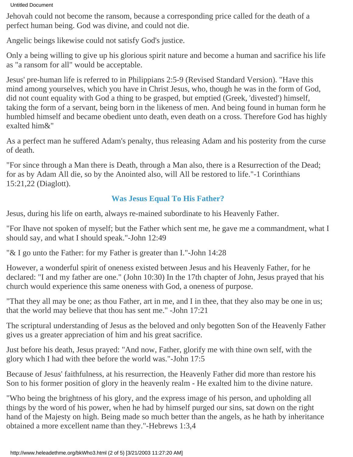Jehovah could not become the ransom, because a corresponding price called for the death of a perfect human being. God was divine, and could not die.

Angelic beings likewise could not satisfy God's justice.

Only a being willing to give up his glorious spirit nature and become a human and sacrifice his life as "a ransom for all" would be acceptable.

Jesus' pre-human life is referred to in Philippians 2:5-9 (Revised Standard Version). "Have this mind among yourselves, which you have in Christ Jesus, who, though he was in the form of God, did not count equality with God a thing to be grasped, but emptied (Greek, 'divested') himself, taking the form of a servant, being born in the likeness of men. And being found in human form he humbled himself and became obedient unto death, even death on a cross. Therefore God has highly exalted him&"

As a perfect man he suffered Adam's penalty, thus releasing Adam and his posterity from the curse of death.

"For since through a Man there is Death, through a Man also, there is a Resurrection of the Dead; for as by Adam All die, so by the Anointed also, will All be restored to life."-1 Corinthians 15:21,22 (Diaglott).

### **Was Jesus Equal To His Father?**

<span id="page-7-0"></span>Jesus, during his life on earth, always re-mained subordinate to his Heavenly Father.

"For Ihave not spoken of myself; but the Father which sent me, he gave me a commandment, what I should say, and what I should speak."-John 12:49

"& I go unto the Father: for my Father is greater than I."-John 14:28

However, a wonderful spirit of oneness existed between Jesus and his Heavenly Father, for he declared: "I and my father are one." (John 10:30) In the 17th chapter of John, Jesus prayed that his church would experience this same oneness with God, a oneness of purpose.

"That they all may be one; as thou Father, art in me, and I in thee, that they also may be one in us; that the world may believe that thou has sent me." -John 17:21

The scriptural understanding of Jesus as the beloved and only begotten Son of the Heavenly Father gives us a greater appreciation of him and his great sacrifice.

Just before his death, Jesus prayed: "And now, Father, glorify me with thine own self, with the glory which I had with thee before the world was."-John 17:5

Because of Jesus' faithfulness, at his resurrection, the Heavenly Father did more than restore his Son to his former position of glory in the heavenly realm - He exalted him to the divine nature.

"Who being the brightness of his glory, and the express image of his person, and upholding all things by the word of his power, when he had by himself purged our sins, sat down on the right hand of the Majesty on high. Being made so much better than the angels, as he hath by inheritance obtained a more excellent name than they."-Hebrews 1:3,4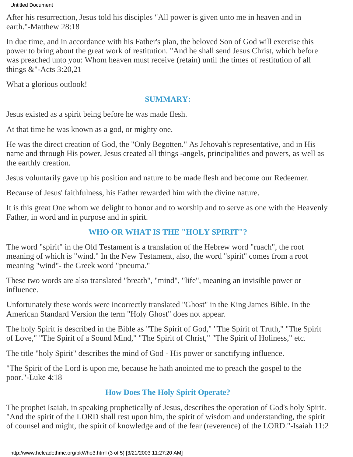After his resurrection, Jesus told his disciples "All power is given unto me in heaven and in earth."-Matthew 28:18

In due time, and in accordance with his Father's plan, the beloved Son of God will exercise this power to bring about the great work of restitution. "And he shall send Jesus Christ, which before was preached unto you: Whom heaven must receive (retain) until the times of restitution of all things &"-Acts 3:20,21

What a glorious outlook!

#### **SUMMARY:**

<span id="page-8-0"></span>Jesus existed as a spirit being before he was made flesh.

At that time he was known as a god, or mighty one.

He was the direct creation of God, the "Only Begotten." As Jehovah's representative, and in His name and through His power, Jesus created all things -angels, principalities and powers, as well as the earthly creation.

Jesus voluntarily gave up his position and nature to be made flesh and become our Redeemer.

Because of Jesus' faithfulness, his Father rewarded him with the divine nature.

It is this great One whom we delight to honor and to worship and to serve as one with the Heavenly Father, in word and in purpose and in spirit.

### **WHO OR WHAT IS THE "HOLY SPIRIT"?**

<span id="page-8-1"></span>The word "spirit" in the Old Testament is a translation of the Hebrew word "ruach", the root meaning of which is "wind." In the New Testament, also, the word "spirit" comes from a root meaning "wind"- the Greek word "pneuma."

These two words are also translated "breath", "mind", "life", meaning an invisible power or influence.

Unfortunately these words were incorrectly translated "Ghost" in the King James Bible. In the American Standard Version the term "Holy Ghost" does not appear.

The holy Spirit is described in the Bible as "The Spirit of God," "The Spirit of Truth," "The Spirit of Love," "The Spirit of a Sound Mind," "The Spirit of Christ," "The Spirit of Holiness," etc.

The title "holy Spirit" describes the mind of God - His power or sanctifying influence.

"The Spirit of the Lord is upon me, because he hath anointed me to preach the gospel to the poor."-Luke 4:18

### **How Does The Holy Spirit Operate?**

<span id="page-8-2"></span>The prophet Isaiah, in speaking prophetically of Jesus, describes the operation of God's holy Spirit. "And the spirit of the LORD shall rest upon him, the spirit of wisdom and understanding, the spirit of counsel and might, the spirit of knowledge and of the fear (reverence) of the LORD."-Isaiah 11:2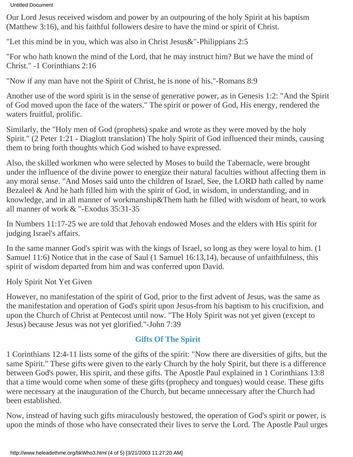Our Lord Jesus received wisdom and power by an outpouring of the holy Spirit at his baptism (Matthew 3:16), and his faithful followers desire to have the mind or spirit of Christ.

"Let this mind be in you, which was also in Christ Jesus&"-Philippians 2:5

"For who hath known the mind of the Lord, that he may instruct him? But we have the mind of Christ." -1 Corinthians 2:16

"Now if any man have not the Spirit of Christ, he is none of his."-Romans 8:9

Another use of the word spirit is in the sense of generative power, as in Genesis 1:2: "And the Spirit of God moved upon the face of the waters." The spirit or power of God, His energy, rendered the waters fruitful, prolific.

Similarly, the "Holy men of God (prophets) spake and wrote as they were moved by the holy Spirit." (2 Peter 1:21 - Diaglott translation) The holy Spirit of God influenced their minds, causing them to bring forth thoughts which God wished to have expressed.

Also, the skilled workmen who were selected by Moses to build the Tabernacle, were brought under the influence of the divine power to energize their natural faculties without affecting them in any moral sense. "And Moses said unto the children of Israel, See, the LORD hath called by name Bezaleel & And he hath filled him with the spirit of God, in wisdom, in understanding, and in knowledge, and in all manner of workmanship&Them hath he filled with wisdom of heart, to work all manner of work & "-Exodus 35:31-35

In Numbers 11:17-25 we are told that Jehovah endowed Moses and the elders with His spirit for judging Israel's affairs.

In the same manner God's spirit was with the kings of Israel, so long as they were loyal to him. (1 Samuel 11:6) Notice that in the case of Saul (1 Samuel 16:13,14), because of unfaithfulness, this spirit of wisdom departed from him and was conferred upon David.

Holy Spirit Not Yet Given

However, no manifestation of the spirit of God, prior to the first advent of Jesus, was the same as the manifestation and operation of God's spirit upon Jesus-from his baptism to his crucifixion, and upon the Church of Christ at Pentecost until now. "The Holy Spirit was not yet given (except to Jesus) because Jesus was not yet glorified."-John 7:39

#### **Gifts Of The Spirit**

<span id="page-9-0"></span>1 Corinthians 12:4-11 lists some of the gifts of the spirit: "Now there are diversities of gifts, but the same Spirit." These gifts were given to the early Church by the holy Spirit, but there is a difference between God's power, His spirit, and these gifts. The Apostle Paul explained in 1 Corinthians 13:8 that a time would come when some of these gifts (prophecy and tongues) would cease. These gifts were necessary at the inauguration of the Church, but became unnecessary after the Church had been established.

Now, instead of having such gifts miraculously bestowed, the operation of God's spirit or power, is upon the minds of those who have consecrated their lives to serve the Lord. The Apostle Paul urges